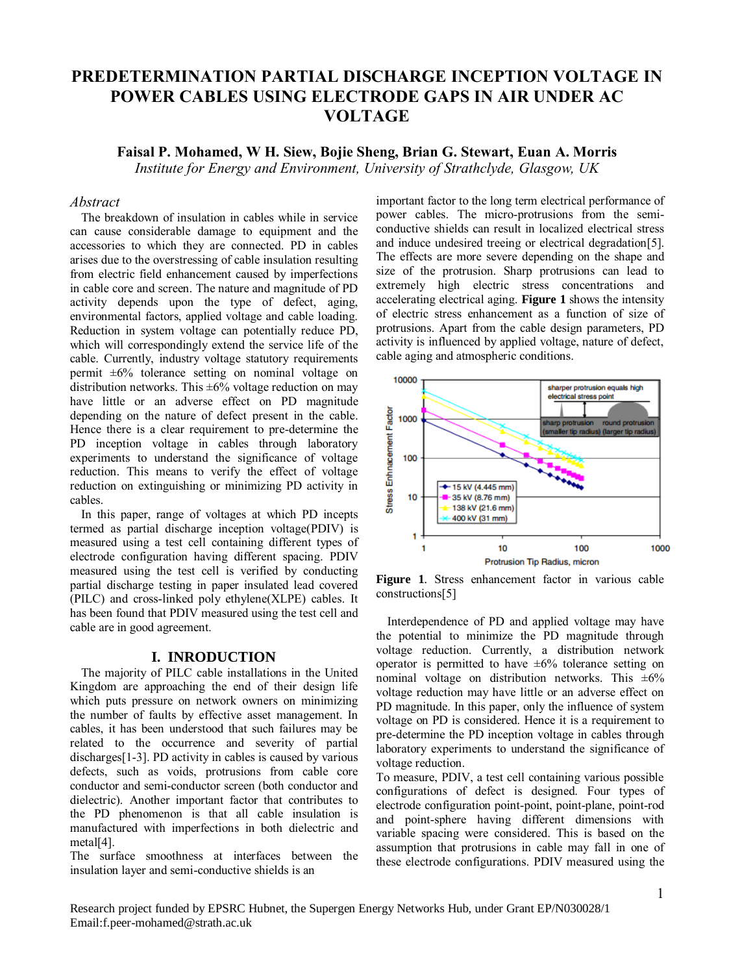# **PREDETERMINATION PARTIAL DISCHARGE INCEPTION VOLTAGE IN POWER CABLES USING ELECTRODE GAPS IN AIR UNDER AC VOLTAGE**

# **Faisal P. Mohamed, W H. Siew, Bojie Sheng, Brian G. Stewart, Euan A. Morris** *Institute for Energy and Environment, University of Strathclyde, Glasgow, UK*

## *Abstract*

The breakdown of insulation in cables while in service can cause considerable damage to equipment and the accessories to which they are connected. PD in cables arises due to the overstressing of cable insulation resulting from electric field enhancement caused by imperfections in cable core and screen. The nature and magnitude of PD activity depends upon the type of defect, aging, environmental factors, applied voltage and cable loading. Reduction in system voltage can potentially reduce PD, which will correspondingly extend the service life of the cable. Currently, industry voltage statutory requirements permit ±6% tolerance setting on nominal voltage on distribution networks. This  $\pm 6\%$  voltage reduction on may have little or an adverse effect on PD magnitude depending on the nature of defect present in the cable. Hence there is a clear requirement to pre-determine the PD inception voltage in cables through laboratory experiments to understand the significance of voltage reduction. This means to verify the effect of voltage reduction on extinguishing or minimizing PD activity in cables.

In this paper, range of voltages at which PD incepts termed as partial discharge inception voltage(PDIV) is measured using a test cell containing different types of electrode configuration having different spacing. PDIV measured using the test cell is verified by conducting partial discharge testing in paper insulated lead covered (PILC) and cross-linked poly ethylene(XLPE) cables. It has been found that PDIV measured using the test cell and cable are in good agreement.

#### **I. INRODUCTION**

The majority of PILC cable installations in the United Kingdom are approaching the end of their design life which puts pressure on network owners on minimizing the number of faults by effective asset management. In cables, it has been understood that such failures may be related to the occurrence and severity of partial discharges[1-3]. PD activity in cables is caused by various defects, such as voids, protrusions from cable core conductor and semi-conductor screen (both conductor and dielectric). Another important factor that contributes to the PD phenomenon is that all cable insulation is manufactured with imperfections in both dielectric and metal[4].

The surface smoothness at interfaces between the insulation layer and semi-conductive shields is an

important factor to the long term electrical performance of power cables. The micro-protrusions from the semiconductive shields can result in localized electrical stress and induce undesired treeing or electrical degradation[5]. The effects are more severe depending on the shape and size of the protrusion. Sharp protrusions can lead to extremely high electric stress concentrations and accelerating electrical aging. **[Figure 1](#page-0-0)** shows the intensity of electric stress enhancement as a function of size of protrusions. Apart from the cable design parameters, PD activity is influenced by applied voltage, nature of defect, cable aging and atmospheric conditions.



<span id="page-0-0"></span>**Figure 1**. Stress enhancement factor in various cable constructions[5]

Interdependence of PD and applied voltage may have the potential to minimize the PD magnitude through voltage reduction. Currently, a distribution network operator is permitted to have  $\pm 6\%$  tolerance setting on nominal voltage on distribution networks. This  $\pm 6\%$ voltage reduction may have little or an adverse effect on PD magnitude. In this paper, only the influence of system voltage on PD is considered. Hence it is a requirement to pre-determine the PD inception voltage in cables through laboratory experiments to understand the significance of voltage reduction.

To measure, PDIV, a test cell containing various possible configurations of defect is designed. Four types of electrode configuration point-point, point-plane, point-rod and point-sphere having different dimensions with variable spacing were considered. This is based on the assumption that protrusions in cable may fall in one of these electrode configurations. PDIV measured using the

Research project funded by EPSRC Hubnet, the Supergen Energy Networks Hub, under Grant EP/N030028/1 Email:f.peer-mohamed@strath.ac.uk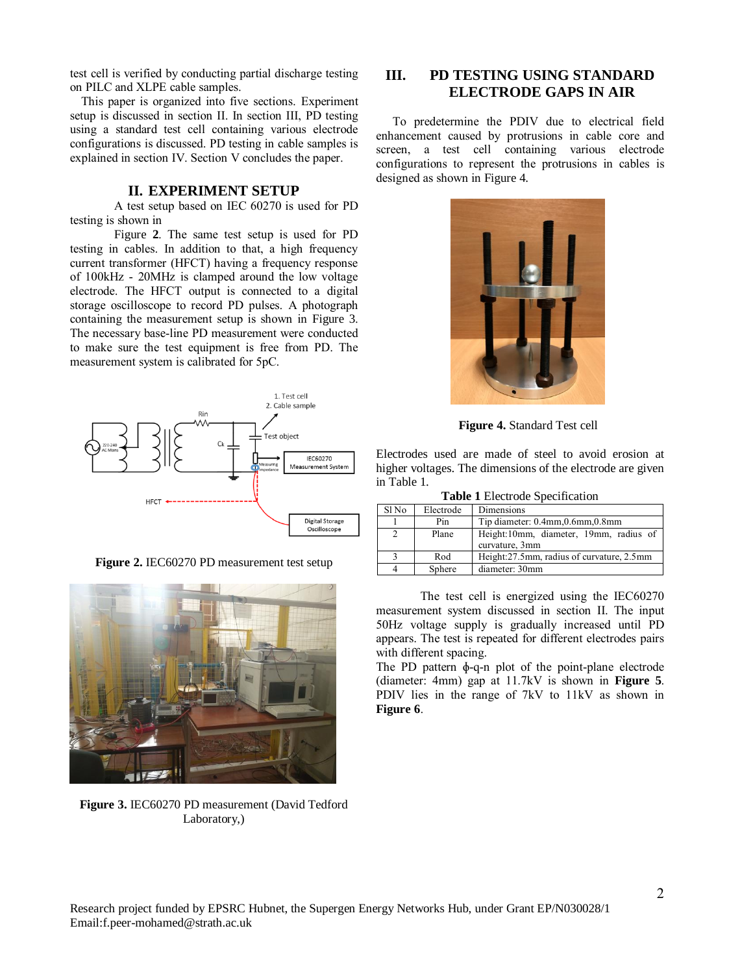test cell is verified by conducting partial discharge testing on PILC and XLPE cable samples.

This paper is organized into five sections. Experiment setup is discussed in section [II.](#page-1-0) In section [III,](#page-1-1) PD testing using a standard test cell containing various electrode configurations is discussed. PD testing in cable samples is explained in section [IV.](#page-3-0) Section [V](#page-4-0) concludes the paper.

#### <span id="page-1-0"></span>**II. EXPERIMENT SETUP**

A test setup based on IEC 60270 is used for PD testing is shown in

[Figure](#page-1-2) **2**. The same test setup is used for PD testing in cables. In addition to that, a high frequency current transformer (HFCT) having a frequency response of 100kHz - 20MHz is clamped around the low voltage electrode. The HFCT output is connected to a digital storage oscilloscope to record PD pulses. A photograph containing the measurement setup is shown in [Figure 3](#page-1-3). The necessary base-line PD measurement were conducted to make sure the test equipment is free from PD. The measurement system is calibrated for 5pC.



**Figure 2.** IEC60270 PD measurement test setup

<span id="page-1-3"></span><span id="page-1-2"></span>

**Figure 3.** IEC60270 PD measurement (David Tedford Laboratory,)

# <span id="page-1-1"></span>**III. PD TESTING USING STANDARD ELECTRODE GAPS IN AIR**

To predetermine the PDIV due to electrical field enhancement caused by protrusions in cable core and screen, a test cell containing various electrode configurations to represent the protrusions in cables is designed as shown in [Figure 4.](#page-1-4)



**Figure 4.** Standard Test cell

<span id="page-1-4"></span>Electrodes used are made of steel to avoid erosion at higher voltages. The dimensions of the electrode are given in [Table 1.](#page-1-5)

|  |  | <b>Table 1</b> Electrode Specification |
|--|--|----------------------------------------|
|  |  |                                        |

<span id="page-1-5"></span>

| Sl No | Electrode | Dimensions                                               |  |
|-------|-----------|----------------------------------------------------------|--|
|       | Pin       | Tip diameter: 0.4mm, 0.6mm, 0.8mm                        |  |
|       | Plane     | Height:10mm, diameter, 19mm, radius of<br>curvature, 3mm |  |
|       | Rod       | Height:27.5mm, radius of curvature, 2.5mm                |  |
|       | Sphere    | diameter: 30mm                                           |  |

The test cell is energized using the IEC60270 measurement system discussed in section [II.](#page-1-0) The input 50Hz voltage supply is gradually increased until PD appears. The test is repeated for different electrodes pairs with different spacing.

The PD pattern ɸ-q-n plot of the point-plane electrode (diameter: 4mm) gap at 11.7kV is shown in **[Figure 5](#page-2-0)**. PDIV lies in the range of 7kV to 11kV as shown in **[Figure 6](#page-2-1)**.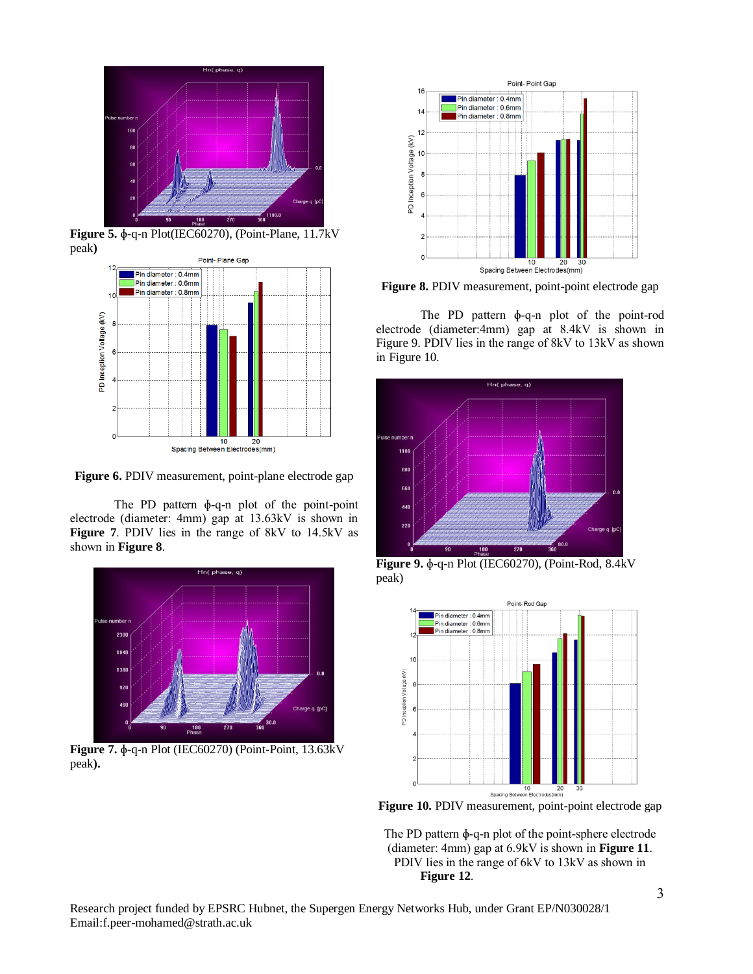

**Figure 5.** ɸ-q-n Plot(IEC60270), (Point-Plane, 11.7kV peak**)**

<span id="page-2-0"></span>

<span id="page-2-1"></span>**Figure 6.** PDIV measurement, point-plane electrode gap

The PD pattern ɸ-q-n plot of the point-point electrode (diameter: 4mm) gap at 13.63kV is shown in **[Figure 7](#page-2-2)**. PDIV lies in the range of 8kV to 14.5kV as shown in **[Figure 8](#page-2-3)**.



<span id="page-2-2"></span>**Figure 7.** ɸ-q-n Plot (IEC60270) (Point-Point, 13.63kV peak**).**



<span id="page-2-3"></span>Figure 8. PDIV measurement, point-point electrode gap

The PD pattern ɸ-q-n plot of the point-rod electrode (diameter:4mm) gap at 8.4kV is shown in [Figure 9](#page-2-4). PDIV lies in the range of 8kV to 13kV as shown in [Figure 10](#page-2-5).



<span id="page-2-4"></span>**Figure 9.** ɸ-q-n Plot (IEC60270), (Point-Rod, 8.4kV peak)



<span id="page-2-5"></span>**Figure 10.** PDIV measurement, point-point electrode gap

The PD pattern ɸ-q-n plot of the point-sphere electrode (diameter: 4mm) gap at 6.9kV is shown in **[Figure 11](#page-3-1)**. PDIV lies in the range of 6kV to 13kV as shown i[n](#page-3-2)  **[Figure 12](#page-3-2)**.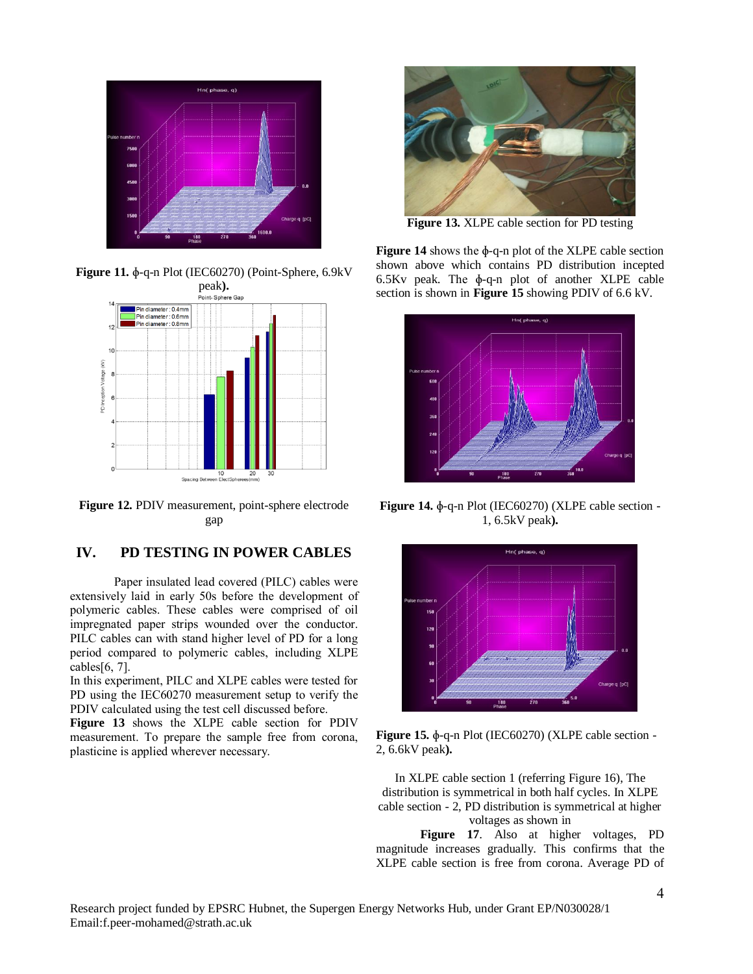

<span id="page-3-1"></span>**Figure 11.** ɸ-q-n Plot (IEC60270) (Point-Sphere, 6.9kV



<span id="page-3-2"></span>**Figure 12.** PDIV measurement, point-sphere electrode gap

# <span id="page-3-0"></span>**IV. PD TESTING IN POWER CABLES**

Paper insulated lead covered (PILC) cables were extensively laid in early 50s before the development of polymeric cables. These cables were comprised of oil impregnated paper strips wounded over the conductor. PILC cables can with stand higher level of PD for a long period compared to polymeric cables, including XLPE cables[6, 7].

In this experiment, PILC and XLPE cables were tested for PD using the IEC60270 measurement setup to verify the PDIV calculated using the test cell discussed before.

**[Figure 13](#page-3-3)** shows the XLPE cable section for PDIV measurement. To prepare the sample free from corona, plasticine is applied wherever necessary.



**Figure 13.** XLPE cable section for PD testing

<span id="page-3-3"></span>**[Figure 14](#page-3-4)** shows the ɸ-q-n plot of the XLPE cable section shown above which contains PD distribution incepted 6.5Kv peak. The ɸ-q-n plot of another XLPE cable section is shown in **[Figure 15](#page-3-5)** showing PDIV of 6.6 kV.



<span id="page-3-4"></span>**Figure 14.** ɸ-q-n Plot (IEC60270) (XLPE cable section - 1, 6.5kV peak**).**



<span id="page-3-5"></span>**Figure 15.** ɸ-q-n Plot (IEC60270) (XLPE cable section - 2, 6.6kV peak**).**

In XLPE cable section 1 (referring Figure 16), The distribution is symmetrical in both half cycles. In XLPE cable section - 2, PD distribution is symmetrical at higher voltages as shown in

**[Figure 17](#page-4-1)**. Also at higher voltages, PD magnitude increases gradually. This confirms that the XLPE cable section is free from corona. Average PD of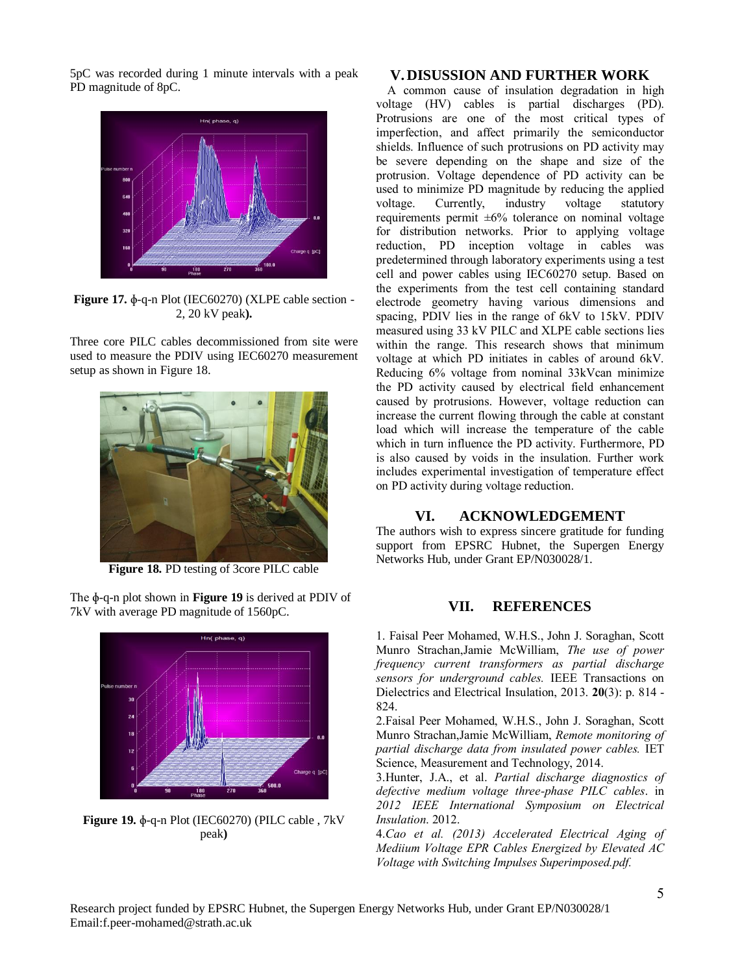5pC was recorded during 1 minute intervals with a peak PD magnitude of 8pC.



<span id="page-4-1"></span>**Figure 17.** ɸ-q-n Plot (IEC60270) (XLPE cable section - 2, 20 kV peak**).**

Three core PILC cables decommissioned from site were used to measure the PDIV using IEC60270 measurement setup as shown in [Figure 18.](#page-4-2)



**Figure 18.** PD testing of 3core PILC cable

<span id="page-4-2"></span>The ɸ-q-n plot shown in **[Figure 19](#page-4-3)** is derived at PDIV of 7kV with average PD magnitude of 1560pC.

<span id="page-4-3"></span>

# **V. DISUSSION AND FURTHER WORK**

<span id="page-4-0"></span>A common cause of insulation degradation in high voltage (HV) cables is partial discharges (PD). Protrusions are one of the most critical types of imperfection, and affect primarily the semiconductor shields. Influence of such protrusions on PD activity may be severe depending on the shape and size of the protrusion. Voltage dependence of PD activity can be used to minimize PD magnitude by reducing the applied voltage. Currently, industry voltage statutory requirements permit ±6% tolerance on nominal voltage for distribution networks. Prior to applying voltage reduction, PD inception voltage in cables was predetermined through laboratory experiments using a test cell and power cables using IEC60270 setup. Based on the experiments from the test cell containing standard electrode geometry having various dimensions and spacing, PDIV lies in the range of 6kV to 15kV. PDIV measured using 33 kV PILC and XLPE cable sections lies within the range. This research shows that minimum voltage at which PD initiates in cables of around 6kV. Reducing 6% voltage from nominal 33kVcan minimize the PD activity caused by electrical field enhancement caused by protrusions. However, voltage reduction can increase the current flowing through the cable at constant load which will increase the temperature of the cable which in turn influence the PD activity. Furthermore, PD is also caused by voids in the insulation. Further work includes experimental investigation of temperature effect on PD activity during voltage reduction.

## **VI. ACKNOWLEDGEMENT**

The authors wish to express sincere gratitude for funding support from EPSRC Hubnet, the Supergen Energy Networks Hub, under Grant EP/N030028/1.

# **VII. REFERENCES**

1. Faisal Peer Mohamed, W.H.S., John J. Soraghan, Scott Munro Strachan,Jamie McWilliam, *The use of power frequency current transformers as partial discharge sensors for underground cables.* IEEE Transactions on Dielectrics and Electrical Insulation, 2013. **20**(3): p. 814 - 824.

2.Faisal Peer Mohamed, W.H.S., John J. Soraghan, Scott Munro Strachan,Jamie McWilliam, *Remote monitoring of partial discharge data from insulated power cables.* IET Science, Measurement and Technology, 2014.

3.Hunter, J.A., et al. *Partial discharge diagnostics of defective medium voltage three-phase PILC cables*. in *2012 IEEE International Symposium on Electrical Insulation*. 2012.

4.*Cao et al. (2013) Accelerated Electrical Aging of Mediium Voltage EPR Cables Energized by Elevated AC Voltage with Switching Impulses Superimposed.pdf.*